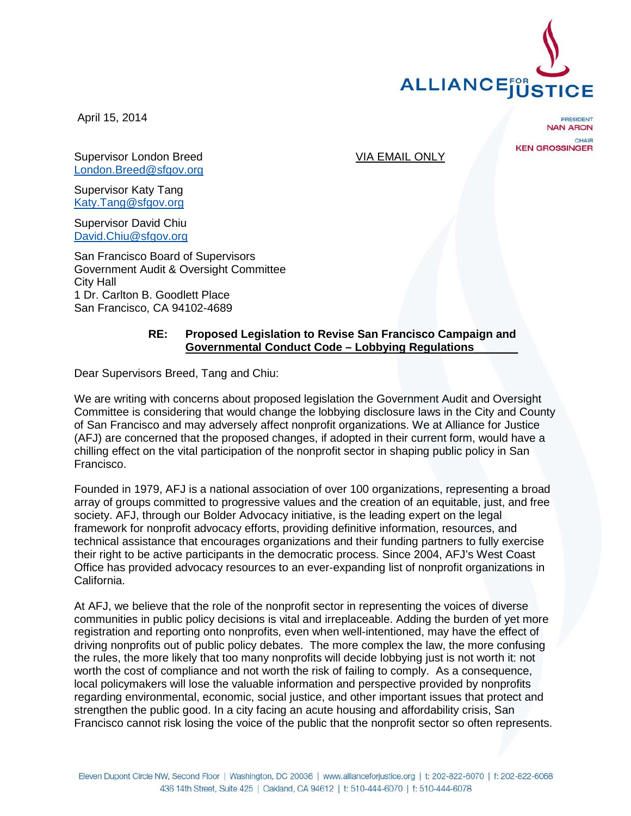

April 15, 2014

**PRESIDENT NAN ARON** CHAIR **KEN GROSSINGER** 

Supervisor London Breed VIA EMAIL ONLY [London.Breed@sfgov.org](mailto:London.Breed@sfgov.org)

Supervisor Katy Tang [Katy.Tang@sfgov.org](mailto:Katy.Tang@sfgov.org)

Supervisor David Chiu [David.Chiu@sfgov.org](mailto:David.Chiu@sfgov.org)

San Francisco Board of Supervisors Government Audit & Oversight Committee City Hall 1 Dr. Carlton B. Goodlett Place San Francisco, CA 94102-4689

## **RE: Proposed Legislation to Revise San Francisco Campaign and Governmental Conduct Code – Lobbying Regulations**\_\_\_\_\_\_\_

Dear Supervisors Breed, Tang and Chiu:

We are writing with concerns about proposed legislation the Government Audit and Oversight Committee is considering that would change the lobbying disclosure laws in the City and County of San Francisco and may adversely affect nonprofit organizations. We at Alliance for Justice (AFJ) are concerned that the proposed changes, if adopted in their current form, would have a chilling effect on the vital participation of the nonprofit sector in shaping public policy in San Francisco.

Founded in 1979, AFJ is a national association of over 100 organizations, representing a broad array of groups committed to progressive values and the creation of an equitable, just, and free society. AFJ, through our Bolder Advocacy initiative, is the leading expert on the legal framework for nonprofit advocacy efforts, providing definitive information, resources, and technical assistance that encourages organizations and their funding partners to fully exercise their right to be active participants in the democratic process. Since 2004, AFJ's West Coast Office has provided advocacy resources to an ever-expanding list of nonprofit organizations in California.

At AFJ, we believe that the role of the nonprofit sector in representing the voices of diverse communities in public policy decisions is vital and irreplaceable. Adding the burden of yet more registration and reporting onto nonprofits, even when well-intentioned, may have the effect of driving nonprofits out of public policy debates. The more complex the law, the more confusing the rules, the more likely that too many nonprofits will decide lobbying just is not worth it: not worth the cost of compliance and not worth the risk of failing to comply. As a consequence, local policymakers will lose the valuable information and perspective provided by nonprofits regarding environmental, economic, social justice, and other important issues that protect and strengthen the public good. In a city facing an acute housing and affordability crisis, San Francisco cannot risk losing the voice of the public that the nonprofit sector so often represents.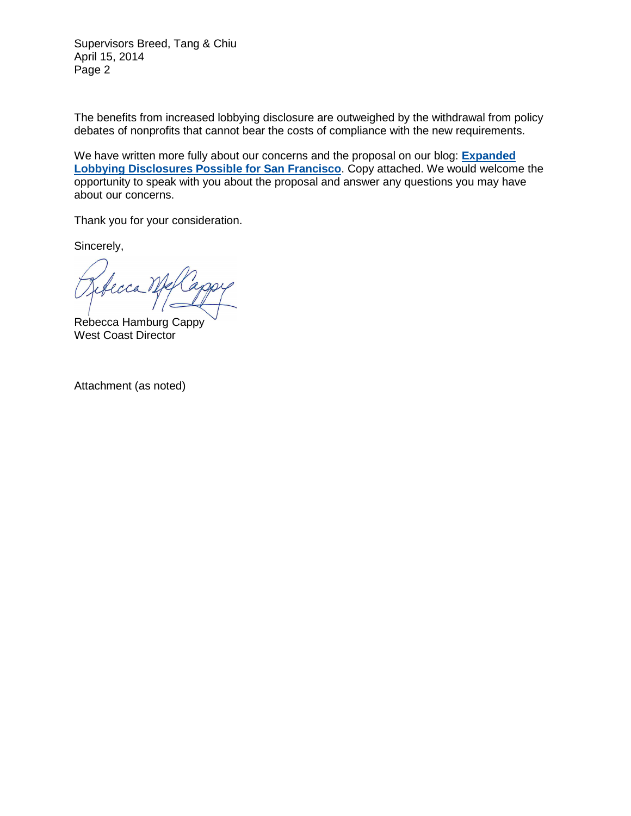Supervisors Breed, Tang & Chiu April 15, 2014 Page 2

The benefits from increased lobbying disclosure are outweighed by the withdrawal from policy debates of nonprofits that cannot bear the costs of compliance with the new requirements.

We have written more fully about our concerns and the proposal on our blog: **[Expanded](http://bolderadvocacy.org/blog/expanded-lobbying-disclosures-possible-for-san-francisco)  [Lobbying Disclosures Possible for San Francisco](http://bolderadvocacy.org/blog/expanded-lobbying-disclosures-possible-for-san-francisco)**. Copy attached. We would welcome the opportunity to speak with you about the proposal and answer any questions you may have about our concerns.

Thank you for your consideration.

Sincerely,

erca

Rebecca Hamburg Cappy West Coast Director

Attachment (as noted)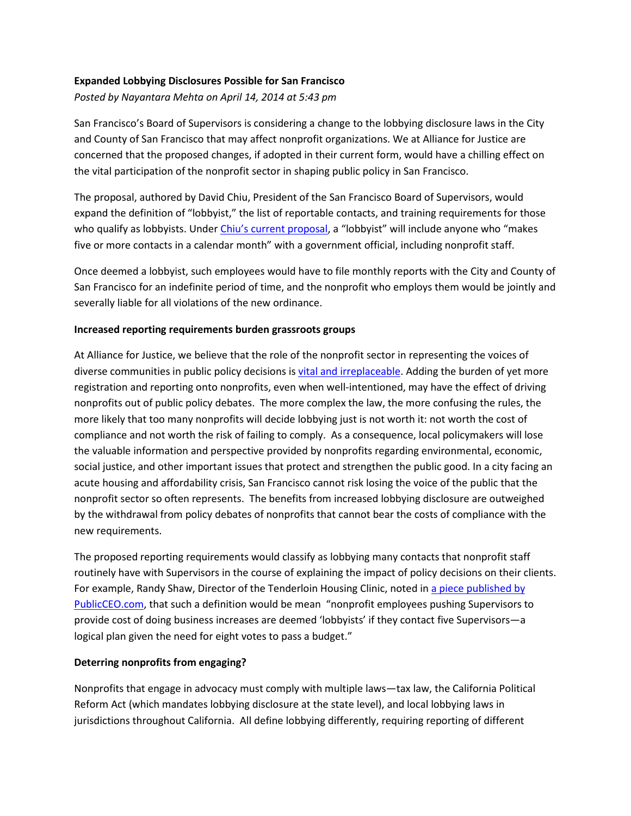## **Expanded Lobbying Disclosures Possible for San Francisco**

*Posted by Nayantara Mehta on April 14, 2014 at 5:43 pm*

San Francisco's Board of Supervisors is considering a change to the lobbying disclosure laws in the City and County of San Francisco that may affect nonprofit organizations. We at Alliance for Justice are concerned that the proposed changes, if adopted in their current form, would have a chilling effect on the vital participation of the nonprofit sector in shaping public policy in San Francisco.

The proposal, authored by David Chiu, President of the San Francisco Board of Supervisors, would expand the definition of "lobbyist," the list of reportable contacts, and training requirements for those who qualify as lobbyists. Under *Chiu's current proposal*, a "lobbyist" will include anyone who "makes five or more contacts in a calendar month" with a government official, including nonprofit staff.

Once deemed a lobbyist, such employees would have to file monthly reports with the City and County of San Francisco for an indefinite period of time, and the nonprofit who employs them would be jointly and severally liable for all violations of the new ordinance.

## **Increased reporting requirements burden grassroots groups**

At Alliance for Justice, we believe that the role of the nonprofit sector in representing the voices of diverse communities in public policy decisions i[s vital and irreplaceable.](http://bolderadvocacy.org/afj-on-advocacy) Adding the burden of yet more registration and reporting onto nonprofits, even when well-intentioned, may have the effect of driving nonprofits out of public policy debates. The more complex the law, the more confusing the rules, the more likely that too many nonprofits will decide lobbying just is not worth it: not worth the cost of compliance and not worth the risk of failing to comply. As a consequence, local policymakers will lose the valuable information and perspective provided by nonprofits regarding environmental, economic, social justice, and other important issues that protect and strengthen the public good. In a city facing an acute housing and affordability crisis, San Francisco cannot risk losing the voice of the public that the nonprofit sector so often represents. The benefits from increased lobbying disclosure are outweighed by the withdrawal from policy debates of nonprofits that cannot bear the costs of compliance with the new requirements.

The proposed reporting requirements would classify as lobbying many contacts that nonprofit staff routinely have with Supervisors in the course of explaining the impact of policy decisions on their clients. For example, Randy Shaw, Director of the Tenderloin Housing Clinic, noted i[n a piece published by](http://www.publicceo.com/2014/03/sf-nonprofits-face-new-attacks-from-county-legislation/)  [PublicCEO.com,](http://www.publicceo.com/2014/03/sf-nonprofits-face-new-attacks-from-county-legislation/) that such a definition would be mean "nonprofit employees pushing Supervisors to provide cost of doing business increases are deemed 'lobbyists' if they contact five Supervisors—a logical plan given the need for eight votes to pass a budget."

## **Deterring nonprofits from engaging?**

Nonprofits that engage in advocacy must comply with multiple laws—tax law, the California Political Reform Act (which mandates lobbying disclosure at the state level), and local lobbying laws in jurisdictions throughout California. All define lobbying differently, requiring reporting of different